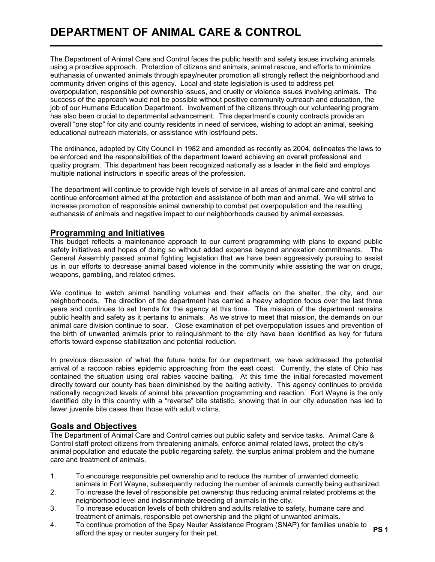# DEPARTMENT OF ANIMAL CARE & CONTROL

The Department of Animal Care and Control faces the public health and safety issues involving animals using a proactive approach. Protection of citizens and animals, animal rescue, and efforts to minimize euthanasia of unwanted animals through spay/neuter promotion all strongly reflect the neighborhood and community driven origins of this agency. Local and state legislation is used to address pet overpopulation, responsible pet ownership issues, and cruelty or violence issues involving animals. The success of the approach would not be possible without positive community outreach and education, the job of our Humane Education Department. Involvement of the citizens through our volunteering program has also been crucial to departmental advancement. This department's county contracts provide an overall "one stop" for city and county residents in need of services, wishing to adopt an animal, seeking educational outreach materials, or assistance with lost/found pets.

The ordinance, adopted by City Council in 1982 and amended as recently as 2004, delineates the laws to be enforced and the responsibilities of the department toward achieving an overall professional and quality program. This department has been recognized nationally as a leader in the field and employs multiple national instructors in specific areas of the profession.

The department will continue to provide high levels of service in all areas of animal care and control and continue enforcement aimed at the protection and assistance of both man and animal. We will strive to increase promotion of responsible animal ownership to combat pet overpopulation and the resulting euthanasia of animals and negative impact to our neighborhoods caused by animal excesses.

### Programming and Initiatives

L

This budget reflects a maintenance approach to our current programming with plans to expand public safety initiatives and hopes of doing so without added expense beyond annexation commitments. The General Assembly passed animal fighting legislation that we have been aggressively pursuing to assist us in our efforts to decrease animal based violence in the community while assisting the war on drugs, weapons, gambling, and related crimes.

We continue to watch animal handling volumes and their effects on the shelter, the city, and our neighborhoods. The direction of the department has carried a heavy adoption focus over the last three years and continues to set trends for the agency at this time. The mission of the department remains public health and safety as it pertains to animals. As we strive to meet that mission, the demands on our animal care division continue to soar. Close examination of pet overpopulation issues and prevention of the birth of unwanted animals prior to relinquishment to the city have been identified as key for future efforts toward expense stabilization and potential reduction.

In previous discussion of what the future holds for our department, we have addressed the potential arrival of a raccoon rabies epidemic approaching from the east coast. Currently, the state of Ohio has contained the situation using oral rabies vaccine baiting. At this time the initial forecasted movement directly toward our county has been diminished by the baiting activity. This agency continues to provide nationally recognized levels of animal bite prevention programming and reaction. Fort Wayne is the only identified city in this country with a "reverse" bite statistic, showing that in our city education has led to fewer juvenile bite cases than those with adult victims.

### Goals and Objectives

The Department of Animal Care and Control carries out public safety and service tasks. Animal Care & Control staff protect citizens from threatening animals, enforce animal related laws, protect the city's animal population and educate the public regarding safety, the surplus animal problem and the humane care and treatment of animals.

- 1. To encourage responsible pet ownership and to reduce the number of unwanted domestic animals in Fort Wayne, subsequently reducing the number of animals currently being euthanized.
- 2. To increase the level of responsible pet ownership thus reducing animal related problems at the neighborhood level and indiscriminate breeding of animals in the city.
- 3. To increase education levels of both children and adults relative to safety, humane care and treatment of animals, responsible pet ownership and the plight of unwanted animals.
- 4. To continue promotion of the Spay Neuter Assistance Program (SNAP) for families unable to o continue promotion of the spay neuter Assistance Frogram (Span Figure annual annual to the PS 1<br>afford the spay or neuter surgery for their pet.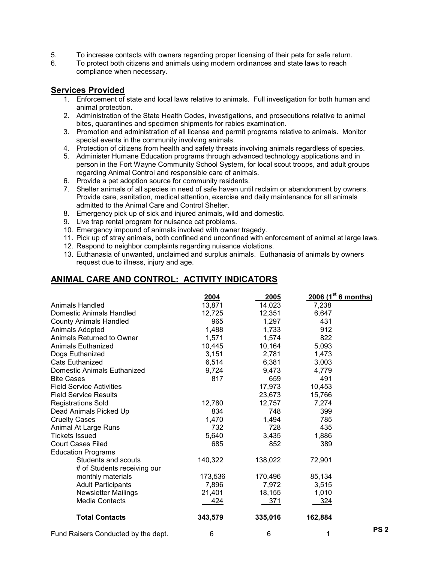- 5. To increase contacts with owners regarding proper licensing of their pets for safe return.
- 6. To protect both citizens and animals using modern ordinances and state laws to reach compliance when necessary.

### Services Provided

- 1. Enforcement of state and local laws relative to animals. Full investigation for both human and animal protection.
- 2. Administration of the State Health Codes, investigations, and prosecutions relative to animal bites, quarantines and specimen shipments for rabies examination.
- 3. Promotion and administration of all license and permit programs relative to animals. Monitor special events in the community involving animals.
- 4. Protection of citizens from health and safety threats involving animals regardless of species.
- 5. Administer Humane Education programs through advanced technology applications and in person in the Fort Wayne Community School System, for local scout troops, and adult groups regarding Animal Control and responsible care of animals.
- 6. Provide a pet adoption source for community residents.
- 7. Shelter animals of all species in need of safe haven until reclaim or abandonment by owners. Provide care, sanitation, medical attention, exercise and daily maintenance for all animals admitted to the Animal Care and Control Shelter.
- 8. Emergency pick up of sick and injured animals, wild and domestic.
- 9. Live trap rental program for nuisance cat problems.
- 10. Emergency impound of animals involved with owner tragedy.
- 11. Pick up of stray animals, both confined and unconfined with enforcement of animal at large laws.
- 12. Respond to neighbor complaints regarding nuisance violations.
- 13. Euthanasia of unwanted, unclaimed and surplus animals. Euthanasia of animals by owners request due to illness, injury and age.

## ANIMAL CARE AND CONTROL: ACTIVITY INDICATORS

|                                     | 2004    | 2005    | 2006 (1 <sup>st</sup> 6 months) |                 |
|-------------------------------------|---------|---------|---------------------------------|-----------------|
| Animals Handled                     | 13,871  | 14,023  | 7,238                           |                 |
| Domestic Animals Handled            | 12,725  | 12,351  | 6,647                           |                 |
| <b>County Animals Handled</b>       | 965     | 1,297   | 431                             |                 |
| Animals Adopted                     | 1,488   | 1,733   | 912                             |                 |
| Animals Returned to Owner           | 1,571   | 1,574   | 822                             |                 |
| <b>Animals Euthanized</b>           | 10,445  | 10,164  | 5,093                           |                 |
| Dogs Euthanized                     | 3,151   | 2,781   | 1,473                           |                 |
| <b>Cats Euthanized</b>              | 6,514   | 6,381   | 3,003                           |                 |
| Domestic Animals Euthanized         | 9,724   | 9,473   | 4,779                           |                 |
| <b>Bite Cases</b>                   | 817     | 659     | 491                             |                 |
| <b>Field Service Activities</b>     |         | 17,973  | 10,453                          |                 |
| <b>Field Service Results</b>        |         | 23,673  | 15,766                          |                 |
| <b>Registrations Sold</b>           | 12,780  | 12,757  | 7,274                           |                 |
| Dead Animals Picked Up              | 834     | 748     | 399                             |                 |
| <b>Cruelty Cases</b>                | 1,470   | 1,494   | 785                             |                 |
| Animal At Large Runs                | 732     | 728     | 435                             |                 |
| <b>Tickets Issued</b>               | 5,640   | 3,435   | 1,886                           |                 |
| <b>Court Cases Filed</b>            | 685     | 852     | 389                             |                 |
| <b>Education Programs</b>           |         |         |                                 |                 |
| Students and scouts                 | 140,322 | 138,022 | 72,901                          |                 |
| # of Students receiving our         |         |         |                                 |                 |
| monthly materials                   | 173,536 | 170,496 | 85,134                          |                 |
| <b>Adult Participants</b>           | 7,896   | 7,972   | 3,515                           |                 |
| <b>Newsletter Mailings</b>          | 21,401  | 18,155  | 1,010                           |                 |
| <b>Media Contacts</b>               | 424     | 371     | 324                             |                 |
| <b>Total Contacts</b>               | 343,579 | 335,016 | 162,884                         |                 |
| Fund Raisers Conducted by the dept. | 6       | 6       | 1                               | PS <sub>2</sub> |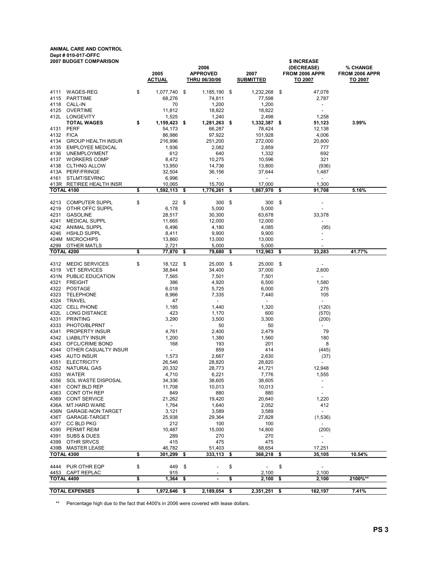#### ANIMAL CARE AND CONTROL Dept # 010-017-OFFC

| <b>2007 BUDGET COMPARISON</b> |                                           |    |                         |      | 2006                                    |     |                                   |    | \$ INCREASE<br>(DECREASE)         | % CHANGE                         |
|-------------------------------|-------------------------------------------|----|-------------------------|------|-----------------------------------------|-----|-----------------------------------|----|-----------------------------------|----------------------------------|
|                               |                                           |    | 2005<br><b>ACTUAL</b>   |      | <b>APPROVED</b><br><b>THRU 06/30/06</b> |     | 2007<br><b>SUBMITTED</b>          |    | FROM 2006 APPR<br><b>TO 2007</b>  | FROM 2006 APPR<br><b>TO 2007</b> |
| 4111                          | <b>WAGES-REG</b>                          | \$ | 1,077,740               | \$   | 1,185,190                               | \$  | 1,232,268                         | \$ | 47,078                            |                                  |
| 4115                          | <b>PARTTIME</b>                           |    | 68,276                  |      | 74,811                                  |     | 77,598                            |    | 2,787                             |                                  |
| 4118                          | CALL-IN                                   |    | 70                      |      | 1,200                                   |     | 1,200                             |    | $\blacksquare$                    |                                  |
| 4125                          | <b>OVERTIME</b>                           |    | 11,812                  |      | 18,822                                  |     | 18,822                            |    | $\sim$                            |                                  |
| 412L                          | LONGEVITY<br><b>TOTAL WAGES</b>           | \$ | 1,525<br>1,159,423      |      | 1,240<br>1,281,263                      | -\$ | 2,498<br>1,332,387                |    | 1,258<br>51,123                   | 3.99%                            |
| 4131                          | <b>PERF</b>                               |    | 54,173                  | - \$ | 66,287                                  |     | 78,424                            | \$ | 12,138                            |                                  |
| 4132                          | <b>FICA</b>                               |    | 86,986                  |      | 97,922                                  |     | 101,928                           |    | 4,006                             |                                  |
| 4134                          | <b>GROUP HEALTH INSUR</b>                 |    | 216,996                 |      | 251,200                                 |     | 272,000                           |    | 20,800                            |                                  |
| 4135                          | <b>EMPLOYEE MEDICAL</b>                   |    | 1,936                   |      | 2,082                                   |     | 2,859                             |    | 777                               |                                  |
| 4136                          | <b>UNEMPLOYMENT</b>                       |    | 612                     |      | 640                                     |     | 1,332                             |    | 692                               |                                  |
| 4137                          | <b>WORKERS COMP</b>                       |    | 8,472                   |      | 10,275                                  |     | 10,596                            |    | 321                               |                                  |
| 4138<br>413A                  | <b>CLTHNG ALLOW</b><br><b>PERF/FRINGE</b> |    | 13,950<br>32,504        |      | 14,736<br>36,156                        |     | 13,800<br>37,644                  |    | (936)<br>1,487                    |                                  |
| 4161                          | STLMT/SEVRNC                              |    | 6,996                   |      | $\overline{\phantom{a}}$                |     | $\blacksquare$                    |    | $\overline{\phantom{a}}$          |                                  |
|                               | 413R RETIREE HEALTH INSR                  |    | 10,065                  |      | 15,700                                  |     | 17,000                            |    | 1,300                             |                                  |
|                               | <b>TOTAL 4100</b>                         | \$ | 1,592,113               | \$   | 1,776,261                               | \$  | 1,867,970                         | \$ | 91,708                            | 5.16%                            |
| 4213                          | <b>COMPUTER SUPPL</b>                     | \$ | 22                      | \$   | 300                                     | \$  | 300                               | \$ |                                   |                                  |
| 4219                          | OTHR OFFC SUPPL                           |    | 6,178                   |      | 5,000                                   |     | 5,000                             |    |                                   |                                  |
| 4231                          | <b>GASOLINE</b>                           |    | 28,517                  |      | 30,300                                  |     | 63,678                            |    | 33,378                            |                                  |
| 4241                          | <b>MEDICAL SUPPL</b>                      |    | 11,665                  |      | 12,000                                  |     | 12,000                            |    |                                   |                                  |
| 4242                          | ANIMAL SUPPL<br><b>HSHLD SUPPL</b>        |    | 6,496                   |      | 4,180                                   |     | 4,085                             |    | (95)                              |                                  |
| 4246                          | 424M MICROCHIPS                           |    | 8,411<br>13,860         |      | 9,900<br>13,000                         |     | 9,900<br>13,000                   |    |                                   |                                  |
| 4299                          | OTHER MATLS                               |    | 2,721                   |      | 5,000                                   |     | 5,000                             |    |                                   |                                  |
|                               | <b>TOTAL 4200</b>                         | \$ | 77,870                  | \$   | 79,680                                  | \$  | 112,963                           | \$ | 33.283                            | 41.77%                           |
| 4312                          | <b>MEDIC SERVICES</b>                     | \$ | 18,122 \$               |      | 25,000                                  | \$  | 25,000                            | \$ | $\overline{\phantom{a}}$          |                                  |
| 4319                          | <b>VET SERVICES</b>                       |    | 38,844                  |      | 34,400                                  |     | 37,000                            |    | 2,600                             |                                  |
|                               | 431N PUBLIC EDUCATION                     |    | 7,565                   |      | 7,501                                   |     | 7,501                             |    | $\overline{\phantom{a}}$          |                                  |
| 4321                          | <b>FREIGHT</b>                            |    | 386                     |      | 4,920                                   |     | 6,500                             |    | 1,580                             |                                  |
| 4322                          | POSTAGE                                   |    | 6,018                   |      | 5,725                                   |     | 6,000                             |    | 275                               |                                  |
| 4323                          | <b>TELEPHONE</b>                          |    | 8,966                   |      | 7,335                                   |     | 7,440                             |    | 105                               |                                  |
| 4324<br>432C                  | <b>TRAVEL</b><br><b>CELL PHONE</b>        |    | 47<br>1,185             |      | $\overline{\phantom{a}}$<br>1,440       |     | ٠<br>1,320                        |    | $\blacksquare$<br>(120)           |                                  |
| 432L                          | LONG DISTANCE                             |    | 423                     |      | 1,170                                   |     | 600                               |    | (570)                             |                                  |
| 4331                          | <b>PRINTING</b>                           |    | 3,290                   |      | 3,500                                   |     | 3,300                             |    | (200)                             |                                  |
| 4333                          | PHOTO/BLPRNT                              |    | $\blacksquare$          |      | 50                                      |     | 50                                |    | $\overline{\phantom{a}}$          |                                  |
| 4341                          | PROPERTY INSUR                            |    | 4,761                   |      | 2,400                                   |     | 2,479                             |    | 79                                |                                  |
| 4342                          | <b>LIABILITY INSUR</b>                    |    | 1,200                   |      | 1,380                                   |     | 1,560                             |    | 180                               |                                  |
| 4343                          | OFCL/CRIME BOND                           |    | 168                     |      | 193                                     |     | 201                               |    | 8                                 |                                  |
| 4344<br>4345                  | OTHER CASUALTY INSUR<br>AUTO INSUR        |    | $\blacksquare$<br>1,573 |      | 859<br>2,667                            |     | 414<br>2,630                      |    | (445)<br>(37)                     |                                  |
| 4351                          | <b>ELECTRICITY</b>                        |    | 26,546                  |      | 28,820                                  |     | 28,820                            |    | $\overline{\phantom{a}}$          |                                  |
| 4352                          | NATURAL GAS                               |    | 20,332                  |      | 28,773                                  |     | 41,721                            |    | 12,948                            |                                  |
| 4353                          | WATER                                     |    | 4,710                   |      | 6,221                                   |     | 7,776                             |    | 1,555                             |                                  |
|                               | 4356 SOL WASTE DISPOSAL                   |    | 34,336                  |      | 38,605                                  |     | 38,605                            |    | ۰.                                |                                  |
| 4361                          | <b>CONT BLD REP</b>                       |    | 11,708                  |      | 10,013                                  |     | 10,013                            |    | $\overline{\phantom{a}}$          |                                  |
| 4363                          | CONT OTH REP<br><b>CONT SERVICE</b>       |    | 849                     |      | 880                                     |     | 880                               |    | $\overline{\phantom{a}}$          |                                  |
| 4369                          | 436A MT.HARD WARE                         |    | 21,262<br>1,764         |      | 19,420<br>1,640                         |     | 20,640<br>2,052                   |    | 1,220<br>412                      |                                  |
|                               | 436N GARAGE-NON TARGET                    |    | 3,121                   |      | 3,589                                   |     | 3,589                             |    | $\sim$                            |                                  |
| 436T                          | GARAGE-TARGET                             |    | 25,938                  |      | 29,364                                  |     | 27,828                            |    | (1,536)                           |                                  |
| 4377                          | <b>CC BLD PKG</b>                         |    | 212                     |      | 100                                     |     | 100                               |    | $\blacksquare$                    |                                  |
| 4390                          | PERMIT REIM                               |    | 10,487                  |      | 15,000                                  |     | 14,800                            |    | (200)                             |                                  |
| 4391                          | SUBS & DUES                               |    | 289                     |      | 270                                     |     | 270                               |    |                                   |                                  |
| 4399                          | OTHR SRVCS                                |    | 415                     |      | 475                                     |     | 475                               |    | $\overline{\phantom{a}}$          |                                  |
| 439B                          | <b>MASTER LEASE</b><br><b>TOTAL 4300</b>  | \$ | 46,782<br>301,299       | \$   | 51,403<br>333,113                       | \$  | 68,654<br>368,218                 | \$ | 17,251<br>35,105                  | 10.54%                           |
|                               |                                           |    |                         |      |                                         |     |                                   |    |                                   |                                  |
| 4444<br>4453                  | PUR OTHR EQP<br>CAPT REPLAC               | \$ | 449<br>915              | \$   |                                         | \$  | $\overline{\phantom{a}}$<br>2,100 | \$ | $\overline{\phantom{a}}$<br>2,100 |                                  |
|                               | <b>TOTAL 4400</b>                         | \$ | 1,364                   | \$   | ٠                                       | \$  | 2,100                             | \$ | 2,100                             | 2100%**                          |
|                               | <b>TOTAL EXPENSES</b>                     | \$ | 1,972,646 \$            |      | 2,189,054 \$                            |     | 2,351,251 \$                      |    | 162,197                           | 7.41%                            |
|                               |                                           |    |                         |      |                                         |     |                                   |    |                                   |                                  |

\*\* Percentage high due to the fact that 4400's in 2006 were covered with lease dollars.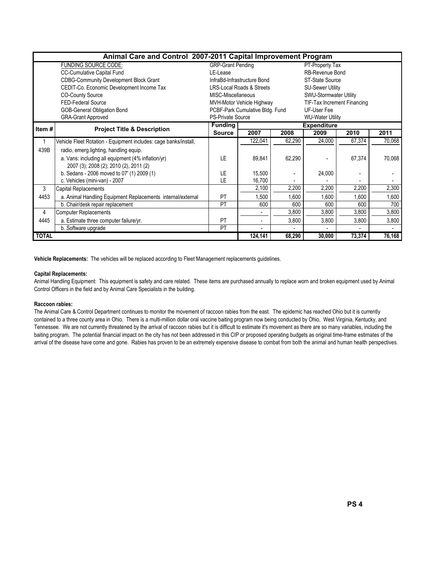|              | Animal Care and Control 2007-2011 Capital Improvement Program    |                          |                                                     |        |                         |                             |        |  |  |  |  |  |  |
|--------------|------------------------------------------------------------------|--------------------------|-----------------------------------------------------|--------|-------------------------|-----------------------------|--------|--|--|--|--|--|--|
|              | <b>FUNDING SOURCE CODE:</b>                                      | <b>GRP-Grant Pending</b> |                                                     |        |                         |                             |        |  |  |  |  |  |  |
|              | <b>CC-Cumulative Capital Fund</b>                                | LE-Lease                 |                                                     |        | RB-Revenue Bond         |                             |        |  |  |  |  |  |  |
|              | <b>CDBG-Community Development Block Grant</b>                    |                          | InfraBd-Infrastructure Bond                         |        | <b>ST-State Source</b>  |                             |        |  |  |  |  |  |  |
|              | CEDIT-Co. Economic Development Income Tax                        |                          | <b>LRS-Local Roads &amp; Streets</b>                |        | <b>SU-Sewer Utility</b> |                             |        |  |  |  |  |  |  |
|              | <b>CO-County Source</b>                                          | MISC-Miscellaneous       |                                                     |        | SWU-Stormwater Utility  |                             |        |  |  |  |  |  |  |
|              | FED-Federal Source                                               |                          | MVH-Motor Vehicle Highway                           |        |                         | TIF-Tax Increment Financing |        |  |  |  |  |  |  |
|              | <b>GOB-General Obligation Bond</b>                               |                          | PCBF-Park Cumulative Bldg. Fund                     |        | UF-User Fee             |                             |        |  |  |  |  |  |  |
|              | <b>GRA-Grant Approved</b>                                        |                          | <b>PS-Private Source</b><br><b>WU-Water Utility</b> |        |                         |                             |        |  |  |  |  |  |  |
| Item#        | <b>Project Title &amp; Description</b>                           | <b>Funding</b>           |                                                     |        | <b>Expenditure</b>      |                             |        |  |  |  |  |  |  |
|              |                                                                  | <b>Source</b>            | 2007                                                | 2008   | 2009                    | 2010                        | 2011   |  |  |  |  |  |  |
| 1            | Vehicle Fleet Rotation - Equipment includes: cage banks/install, |                          | 122,041                                             | 62,290 | 24,000                  | 67,374                      | 70,068 |  |  |  |  |  |  |
| 439B         | radio, emerg lighting, handling equip.                           |                          |                                                     |        |                         |                             |        |  |  |  |  |  |  |
|              | a. Vans: including all equipment (4% inflation/yr)               | 1F                       | 89,841                                              | 62,290 |                         | 67,374                      | 70,068 |  |  |  |  |  |  |
|              | 2007 (3); 2008 (2); 2010 (2), 2011 (2)                           |                          |                                                     |        |                         |                             |        |  |  |  |  |  |  |
|              | b. Sedans - 2006 moved to 07' (1) 2009 (1)                       | LE                       | 15,500                                              |        | 24,000                  |                             |        |  |  |  |  |  |  |
|              | c. Vehicles (mini-van) - 2007                                    | LE                       | 16,700                                              |        |                         |                             |        |  |  |  |  |  |  |
| 3            | Capital Replacements                                             |                          | 2,100                                               | 2,200  | 2,200                   | 2,200                       | 2,300  |  |  |  |  |  |  |
| 4453         | a. Animal Handling Equipment Replacements internal/external      | PT                       | 1,500                                               | 1,600  | 1,600                   | 1,600                       | 1,600  |  |  |  |  |  |  |
|              | b. Chair/desk repair replacement                                 | PT                       | 600                                                 | 600    | 600                     | 600                         | 700    |  |  |  |  |  |  |
| 4            | <b>Computer Replacements</b>                                     |                          | ٠                                                   | 3,800  | 3,800                   | 3,800                       | 3,800  |  |  |  |  |  |  |
| 4445         | a. Estimate three computer failure/yr.                           | <b>PT</b>                | ٠                                                   | 3,800  | 3,800                   | 3,800                       | 3,800  |  |  |  |  |  |  |
|              | b. Software upgrade                                              | PT                       |                                                     |        |                         |                             |        |  |  |  |  |  |  |
| <b>TOTAL</b> |                                                                  |                          | 124,141                                             | 68,290 | 30,000                  | 73,374                      | 76,168 |  |  |  |  |  |  |

Vehicle Replacements: The vehicles will be replaced according to Fleet Management replacements guidelines.

#### Capital Replacements:

Animal Handling Equipment: This equipment is safety and care related. These items are purchased annually to replace worn and broken equipment used by Animal Control Officers in the field and by Animal Care Specialists in the building.

#### Raccoon rabies:

The Animal Care & Control Department continues to monitor the movement of raccoon rabies from the east. The epidemic has reached Ohio but it is currently contained to a three county area in Ohio. There is a multi-million dollar oral vaccine baiting program now being conducted by Ohio, West Virginia, Kentucky, and Tennessee. We are not currently threatened by the arrival of raccoon rabies but it is difficult to estimate it's movement as there are so many variables, including the baiting program. The potential financial impact on the city has not been addressed in this CIP or proposed operating budgets as original time-frame estimates of the arrival of the disease have come and gone. Rabies has proven to be an extremely expensive disease to combat from both the animal and human health perspectives.